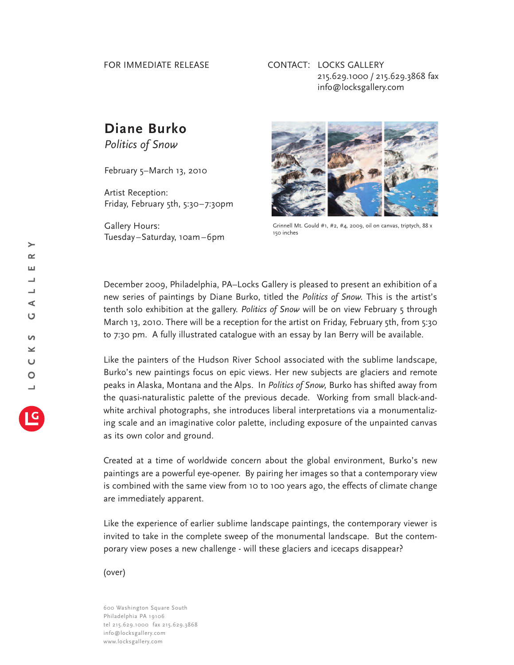## FOR IMMEDIATE RELEASE

## CONTACT: LOCKS GALLERY 215.629.1000 / 215.629.3868 fax info@locksgallery.com

## **Diane Burko**

*Politics of Snow*

February 5–March 13, 2010

Artist Reception: Friday, February 5th, 5:30–7:30pm

Gallery Hours: Tuesday–Saturday, 10am–6pm



Grinnell Mt. Gould #1, #2, #4*,* 2009, oil on canvas, triptych, 88 x 150 inches

December 2009, Philadelphia, PA–Locks Gallery is pleased to present an exhibition of a new series of paintings by Diane Burko, titled the *Politics of Snow.* This is the artist's tenth solo exhibition at the gallery. *Politics of Snow* will be on view February 5 through March 13, 2010. There will be a reception for the artist on Friday, February 5th, from 5:30 to 7:30 pm. A fully illustrated catalogue with an essay by Ian Berry will be available.

Like the painters of the Hudson River School associated with the sublime landscape, Burko's new paintings focus on epic views. Her new subjects are glaciers and remote peaks in Alaska, Montana and the Alps. In *Politics of Snow,* Burko has shifted away from the quasi-naturalistic palette of the previous decade. Working from small black-andwhite archival photographs, she introduces liberal interpretations via a monumentalizing scale and an imaginative color palette, including exposure of the unpainted canvas as its own color and ground.

Created at a time of worldwide concern about the global environment, Burko's new paintings are a powerful eye-opener. By pairing her images so that a contemporary view is combined with the same view from 10 to 100 years ago, the effects of climate change are immediately apparent.

Like the experience of earlier sublime landscape paintings, the contemporary viewer is invited to take in the complete sweep of the monumental landscape. But the contemporary view poses a new challenge - will these glaciers and icecaps disappear?

(over)

600 Washington Square South Philadelphia PA 19106 tel 215.629.1000 fax 215.629.3868 info@locksgallery.com www.locksgallery.com